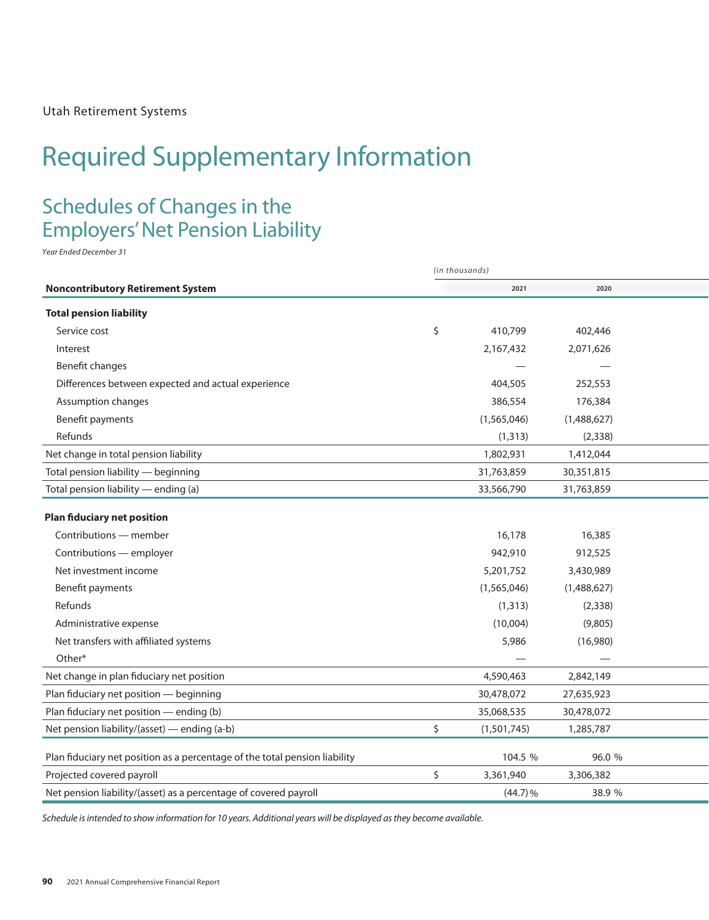# Required Supplementary Information Required Supplementary Information

# Schedules of Changes in the Employers' Net Pension Liability Employers' Net Pension Liability

*Year Ended December 31 Year Ended December 31*

|                                                                            | (in thousands) |             |             |  |  |  |
|----------------------------------------------------------------------------|----------------|-------------|-------------|--|--|--|
| <b>Noncontributory Retirement System</b>                                   |                | 2021        | 2020        |  |  |  |
| <b>Total pension liability</b>                                             |                |             |             |  |  |  |
| Service cost                                                               | \$             | 410,799     | 402,446     |  |  |  |
| Interest                                                                   |                | 2,167,432   | 2,071,626   |  |  |  |
| Benefit changes                                                            |                |             |             |  |  |  |
| Differences between expected and actual experience                         |                | 404,505     | 252,553     |  |  |  |
| Assumption changes                                                         |                | 386,554     | 176,384     |  |  |  |
| Benefit payments                                                           |                | (1,565,046) | (1,488,627) |  |  |  |
| Refunds                                                                    |                | (1, 313)    | (2, 338)    |  |  |  |
| Net change in total pension liability                                      |                | 1,802,931   | 1,412,044   |  |  |  |
| Total pension liability - beginning                                        |                | 31,763,859  | 30,351,815  |  |  |  |
| Total pension liability - ending (a)                                       |                | 33,566,790  | 31,763,859  |  |  |  |
| <b>Plan fiduciary net position</b>                                         |                |             |             |  |  |  |
| Contributions - member                                                     |                | 16,178      | 16,385      |  |  |  |
| Contributions - employer                                                   |                | 942,910     | 912,525     |  |  |  |
| Net investment income                                                      |                | 5,201,752   | 3,430,989   |  |  |  |
| Benefit payments                                                           |                | (1,565,046) | (1,488,627) |  |  |  |
| Refunds                                                                    |                | (1, 313)    | (2, 338)    |  |  |  |
| Administrative expense                                                     |                | (10,004)    | (9,805)     |  |  |  |
| Net transfers with affiliated systems                                      |                | 5,986       | (16,980)    |  |  |  |
| Other*                                                                     |                |             |             |  |  |  |
| Net change in plan fiduciary net position                                  |                | 4,590,463   | 2,842,149   |  |  |  |
| Plan fiduciary net position - beginning                                    |                | 30,478,072  | 27,635,923  |  |  |  |
| Plan fiduciary net position - ending (b)                                   |                | 35,068,535  | 30,478,072  |  |  |  |
| Net pension liability/(asset) — ending (a-b)                               | \$             | (1,501,745) | 1,285,787   |  |  |  |
| Plan fiduciary net position as a percentage of the total pension liability |                | 104.5 %     | 96.0 %      |  |  |  |
| Projected covered payroll                                                  | \$             | 3,361,940   | 3,306,382   |  |  |  |
| Net pension liability/(asset) as a percentage of covered payroll           |                | (44.7)%     | 38.9 %      |  |  |  |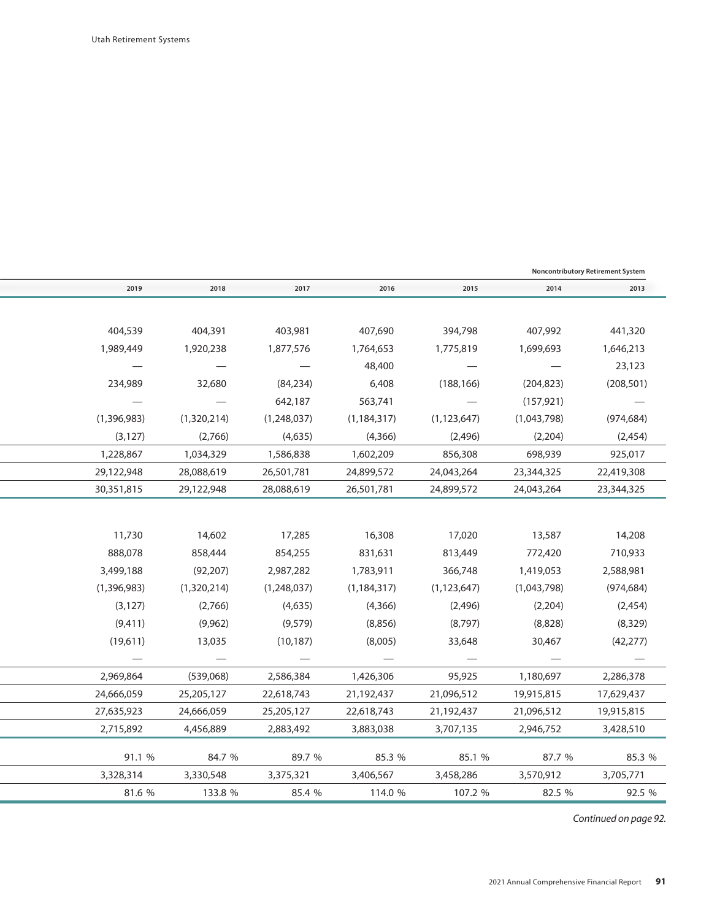|                   |                                 |               |               |             | <b>Noncontributory Retirement System</b> |
|-------------------|---------------------------------|---------------|---------------|-------------|------------------------------------------|
| 2018              | 2017                            | 2016          | 2015          | 2014        | 2013                                     |
|                   |                                 |               |               |             |                                          |
| 404,391           | 403,981                         | 407,690       | 394,798       | 407,992     | 441,320                                  |
| 1,920,238         | 1,877,576                       | 1,764,653     | 1,775,819     | 1,699,693   | 1,646,213                                |
|                   | $\hspace{0.1mm}-\hspace{0.1mm}$ | 48,400        |               |             | 23,123                                   |
| 32,680            | (84, 234)                       | 6,408         | (188, 166)    | (204, 823)  | (208, 501)                               |
|                   | 642,187                         | 563,741       |               | (157, 921)  |                                          |
| (1,320,214)       | (1,248,037)                     | (1, 184, 317) | (1, 123, 647) | (1,043,798) | (974, 684)                               |
| (2,766)           | (4,635)                         | (4,366)       | (2, 496)      | (2, 204)    | (2, 454)                                 |
| 1,034,329         | 1,586,838                       | 1,602,209     | 856,308       | 698,939     | 925,017                                  |
| 28,088,619        | 26,501,781                      | 24,899,572    | 24,043,264    | 23,344,325  | 22,419,308                               |
| 29,122,948        | 28,088,619                      | 26,501,781    | 24,899,572    | 24,043,264  | 23,344,325                               |
|                   |                                 |               |               |             |                                          |
| 14,602            | 17,285                          | 16,308        | 17,020        | 13,587      | 14,208                                   |
| 858,444           | 854,255                         | 831,631       | 813,449       | 772,420     | 710,933                                  |
| (92, 207)         | 2,987,282                       | 1,783,911     | 366,748       | 1,419,053   | 2,588,981                                |
| (1,320,214)       | (1,248,037)                     | (1, 184, 317) | (1, 123, 647) | (1,043,798) | (974, 684)                               |
| (2,766)           | (4,635)                         | (4,366)       | (2,496)       | (2, 204)    | (2,454)                                  |
| (9,962)           | (9, 579)                        | (8,856)       | (8,797)       | (8,828)     | (8, 329)                                 |
| 13,035            | (10, 187)                       | (8,005)       | 33,648        | 30,467      | (42, 277)                                |
| $\qquad \qquad -$ |                                 |               |               |             |                                          |
| (539,068)         | 2,586,384                       | 1,426,306     | 95,925        | 1,180,697   | 2,286,378                                |
| 25,205,127        | 22,618,743                      | 21,192,437    | 21,096,512    | 19,915,815  | 17,629,437                               |
| 24,666,059        | 25,205,127                      | 22,618,743    | 21,192,437    | 21,096,512  | 19,915,815                               |
| 4,456,889         | 2,883,492                       | 3,883,038     | 3,707,135     | 2,946,752   | 3,428,510                                |
| 84.7 %            | 89.7 %                          | 85.3 %        | 85.1 %        | 87.7 %      | 85.3 %                                   |
| 3,330,548         | 3,375,321                       | 3,406,567     | 3,458,286     | 3,570,912   | 3,705,771                                |
| 133.8 %           | 85.4 %                          | 114.0 %       | 107.2 %       | 82.5 %      | 92.5 %                                   |
|                   |                                 |               |               |             |                                          |

*Continued on page 92. Continued on page 92.*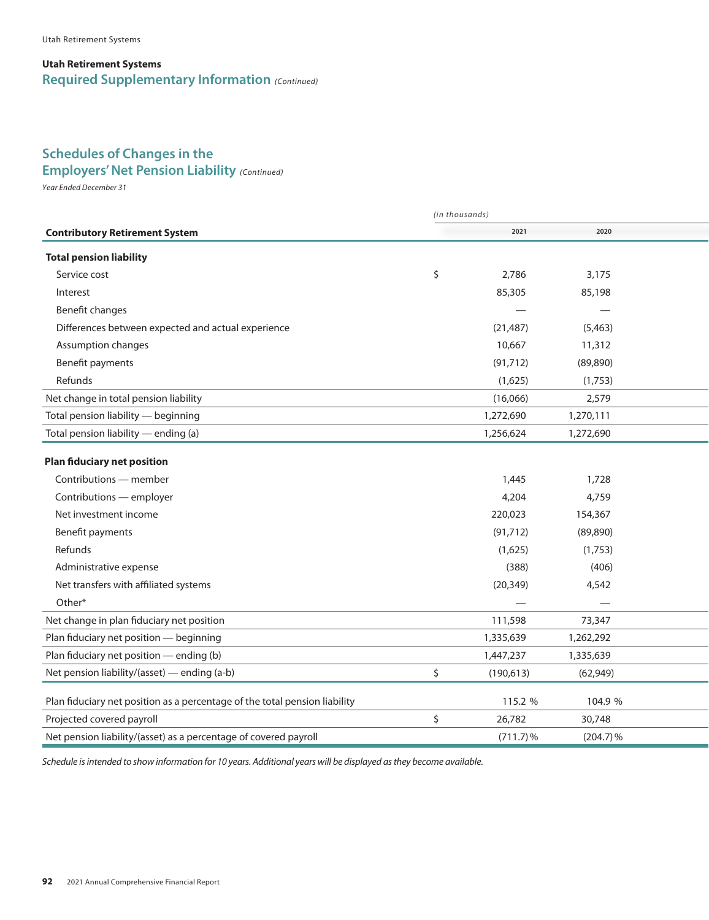#### **Utah Retirement Systems Required Supplementary Information** *(Continued)*

### **Schedules of Changes in the**

#### **Employers' Net Pension Liability** (Continued)

*Year Ended December 31*

|                                                                            | (in thousands) |             |             |  |  |  |
|----------------------------------------------------------------------------|----------------|-------------|-------------|--|--|--|
| <b>Contributory Retirement System</b>                                      |                | 2021        | 2020        |  |  |  |
| <b>Total pension liability</b>                                             |                |             |             |  |  |  |
| Service cost                                                               | \$             | 2,786       | 3,175       |  |  |  |
| Interest                                                                   |                | 85,305      | 85,198      |  |  |  |
| Benefit changes                                                            |                |             |             |  |  |  |
| Differences between expected and actual experience                         |                | (21, 487)   | (5,463)     |  |  |  |
| Assumption changes                                                         |                | 10,667      | 11,312      |  |  |  |
| Benefit payments                                                           |                | (91, 712)   | (89, 890)   |  |  |  |
| Refunds                                                                    |                | (1,625)     | (1,753)     |  |  |  |
| Net change in total pension liability                                      |                | (16,066)    | 2,579       |  |  |  |
| Total pension liability - beginning                                        |                | 1,272,690   | 1,270,111   |  |  |  |
| Total pension liability - ending (a)                                       |                | 1,256,624   | 1,272,690   |  |  |  |
| <b>Plan fiduciary net position</b>                                         |                |             |             |  |  |  |
| Contributions - member                                                     |                | 1,445       | 1,728       |  |  |  |
| Contributions - employer                                                   |                | 4,204       | 4,759       |  |  |  |
| Net investment income                                                      |                | 220,023     | 154,367     |  |  |  |
| Benefit payments                                                           |                | (91, 712)   | (89, 890)   |  |  |  |
| Refunds                                                                    |                | (1,625)     | (1,753)     |  |  |  |
| Administrative expense                                                     |                | (388)       | (406)       |  |  |  |
| Net transfers with affiliated systems                                      |                | (20, 349)   | 4,542       |  |  |  |
| Other*                                                                     |                |             |             |  |  |  |
| Net change in plan fiduciary net position                                  |                | 111,598     | 73,347      |  |  |  |
| Plan fiduciary net position - beginning                                    |                | 1,335,639   | 1,262,292   |  |  |  |
| Plan fiduciary net position - ending (b)                                   |                | 1,447,237   | 1,335,639   |  |  |  |
| Net pension liability/(asset) — ending (a-b)                               | \$             | (190, 613)  | (62, 949)   |  |  |  |
| Plan fiduciary net position as a percentage of the total pension liability |                | 115.2 %     | 104.9 %     |  |  |  |
| Projected covered payroll                                                  | \$             | 26,782      | 30,748      |  |  |  |
| Net pension liability/(asset) as a percentage of covered payroll           |                | $(711.7)\%$ | $(204.7)\%$ |  |  |  |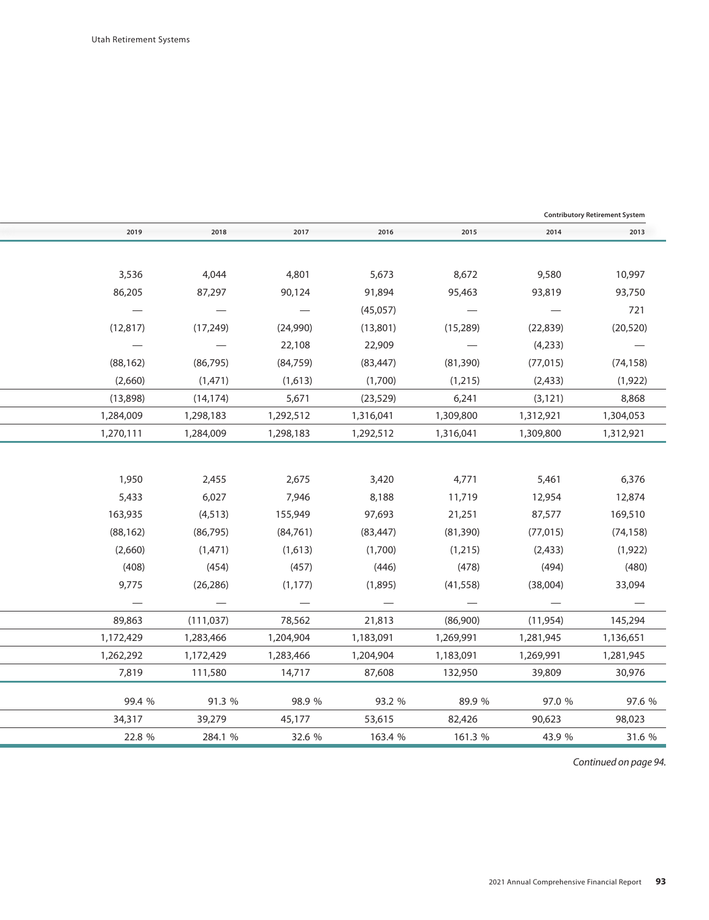|                                 |                                 |                                 |                                 |                                 |                          | <b>Contributory Retirement System</b> |
|---------------------------------|---------------------------------|---------------------------------|---------------------------------|---------------------------------|--------------------------|---------------------------------------|
| 2019                            | 2018                            | 2017                            | 2016                            | 2015                            | 2014                     | 2013                                  |
|                                 |                                 |                                 |                                 |                                 |                          |                                       |
| 3,536                           | 4,044                           | 4,801                           | 5,673                           | 8,672                           | 9,580                    | 10,997                                |
| 86,205                          | 87,297                          | 90,124                          | 91,894                          | 95,463                          | 93,819                   | 93,750                                |
| $\hspace{0.1mm}-\hspace{0.1mm}$ | $\overline{\phantom{m}}$        | $\overline{\phantom{m}}$        | (45,057)                        | $\overline{\phantom{m}}$        | $\overline{\phantom{a}}$ | 721                                   |
| (12, 817)                       | (17, 249)                       | (24,990)                        | (13,801)                        | (15, 289)                       | (22, 839)                | (20, 520)                             |
| $\overline{\phantom{a}}$        | $\hspace{0.1mm}-\hspace{0.1mm}$ | 22,108                          | 22,909                          | $\overline{\phantom{m}}$        | (4,233)                  | $\sim$ $-$                            |
| (88, 162)                       | (86, 795)                       | (84, 759)                       | (83, 447)                       | (81, 390)                       | (77, 015)                | (74, 158)                             |
| (2,660)                         | (1, 471)                        | (1,613)                         | (1,700)                         | (1,215)                         | (2, 433)                 | (1, 922)                              |
| (13,898)                        | (14, 174)                       | 5,671                           | (23, 529)                       | 6,241                           | (3, 121)                 | 8,868                                 |
| 1,284,009                       | 1,298,183                       | 1,292,512                       | 1,316,041                       | 1,309,800                       | 1,312,921                | 1,304,053                             |
| 1,270,111                       | 1,284,009                       | 1,298,183                       | 1,292,512                       | 1,316,041                       | 1,309,800                | 1,312,921                             |
|                                 |                                 |                                 |                                 |                                 |                          |                                       |
| 1,950                           | 2,455                           | 2,675                           | 3,420                           | 4,771                           | 5,461                    | 6,376                                 |
| 5,433                           | 6,027                           | 7,946                           | 8,188                           | 11,719                          | 12,954                   | 12,874                                |
| 163,935                         | (4, 513)                        | 155,949                         | 97,693                          | 21,251                          | 87,577                   | 169,510                               |
| (88, 162)                       | (86, 795)                       | (84, 761)                       | (83, 447)                       | (81, 390)                       | (77, 015)                | (74, 158)                             |
| (2,660)                         | (1, 471)                        | (1,613)                         | (1,700)                         | (1,215)                         | (2, 433)                 | (1, 922)                              |
| (408)                           | (454)                           | (457)                           | (446)                           | (478)                           | (494)                    | (480)                                 |
| 9,775                           | (26, 286)                       | (1, 177)                        | (1,895)                         | (41, 558)                       | (38,004)                 | 33,094                                |
| $\hspace{0.1mm}-\hspace{0.1mm}$ | $\hspace{0.1mm}-\hspace{0.1mm}$ | $\hspace{0.1mm}-\hspace{0.1mm}$ | $\hspace{0.1mm}-\hspace{0.1mm}$ | $\hspace{0.1mm}-\hspace{0.1mm}$ | $\overline{\phantom{0}}$ |                                       |
| 89,863                          | (111, 037)                      | 78,562                          | 21,813                          | (86,900)                        | (11, 954)                | 145,294                               |
| 1,172,429                       | 1,283,466                       | 1,204,904                       | 1,183,091                       | 1,269,991                       | 1,281,945                | 1,136,651                             |
| 1,262,292                       | 1,172,429                       | 1,283,466                       | 1,204,904                       | 1,183,091                       | 1,269,991                | 1,281,945                             |
| 7,819                           | 111,580                         | 14,717                          | 87,608                          | 132,950                         | 39,809                   | 30,976                                |
| 99.4 %                          | 91.3 %                          | 98.9 %                          | 93.2 %                          | 89.9 %                          | 97.0 %                   | 97.6 %                                |
| 34,317                          | 39,279                          | 45,177                          | 53,615                          | 82,426                          | 90,623                   | 98,023                                |
| 22.8 %                          | 284.1 %                         | 32.6 %                          | 163.4 %                         | 161.3 %                         | 43.9 %                   | 31.6 %                                |
|                                 |                                 |                                 |                                 |                                 |                          |                                       |

*Continued on page 94. Continued on page 94.*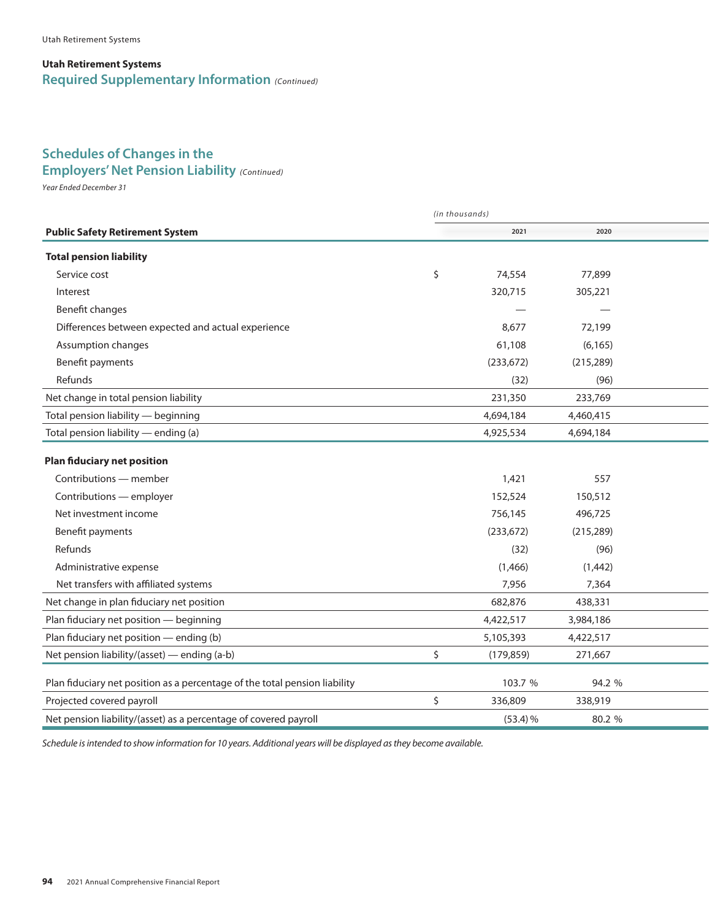#### **Utah Retirement Systems Required Supplementary Information** *(Continued)*

# **Schedules of Changes in the**

### *Year Ended December 31* **Employers' Net Pension Liability** *(Continued)*

*Year Ended December 31*

|                                                                            | (in thousands) |            |            |  |  |  |
|----------------------------------------------------------------------------|----------------|------------|------------|--|--|--|
| <b>Public Safety Retirement System</b>                                     |                | 2021       | 2020       |  |  |  |
| <b>Total pension liability</b>                                             |                |            |            |  |  |  |
| Service cost                                                               | \$             | 74,554     | 77,899     |  |  |  |
| Interest                                                                   |                | 320,715    | 305,221    |  |  |  |
| Benefit changes                                                            |                |            |            |  |  |  |
| Differences between expected and actual experience                         |                | 8,677      | 72,199     |  |  |  |
| Assumption changes                                                         |                | 61,108     | (6, 165)   |  |  |  |
| Benefit payments                                                           |                | (233, 672) | (215, 289) |  |  |  |
| Refunds                                                                    |                | (32)       | (96)       |  |  |  |
| Net change in total pension liability                                      |                | 231,350    | 233,769    |  |  |  |
| Total pension liability - beginning                                        |                | 4,694,184  | 4,460,415  |  |  |  |
| Total pension liability — ending (a)                                       |                | 4,925,534  | 4,694,184  |  |  |  |
| <b>Plan fiduciary net position</b>                                         |                |            |            |  |  |  |
| Contributions - member                                                     |                | 1,421      | 557        |  |  |  |
| Contributions - employer                                                   |                | 152,524    | 150,512    |  |  |  |
| Net investment income                                                      |                | 756,145    | 496,725    |  |  |  |
| Benefit payments                                                           |                | (233, 672) | (215, 289) |  |  |  |
| Refunds                                                                    |                | (32)       | (96)       |  |  |  |
| Administrative expense                                                     |                | (1,466)    | (1,442)    |  |  |  |
| Net transfers with affiliated systems                                      |                | 7,956      | 7,364      |  |  |  |
| Net change in plan fiduciary net position                                  |                | 682,876    | 438,331    |  |  |  |
| Plan fiduciary net position - beginning                                    |                | 4,422,517  | 3,984,186  |  |  |  |
| Plan fiduciary net position - ending (b)                                   |                | 5,105,393  | 4,422,517  |  |  |  |
| Net pension liability/(asset) — ending (a-b)                               | \$             | (179, 859) | 271,667    |  |  |  |
| Plan fiduciary net position as a percentage of the total pension liability |                | 103.7 %    | 94.2 %     |  |  |  |
| Projected covered payroll                                                  | \$             | 336,809    | 338,919    |  |  |  |
| Net pension liability/(asset) as a percentage of covered payroll           |                | $(53.4)$ % | 80.2 %     |  |  |  |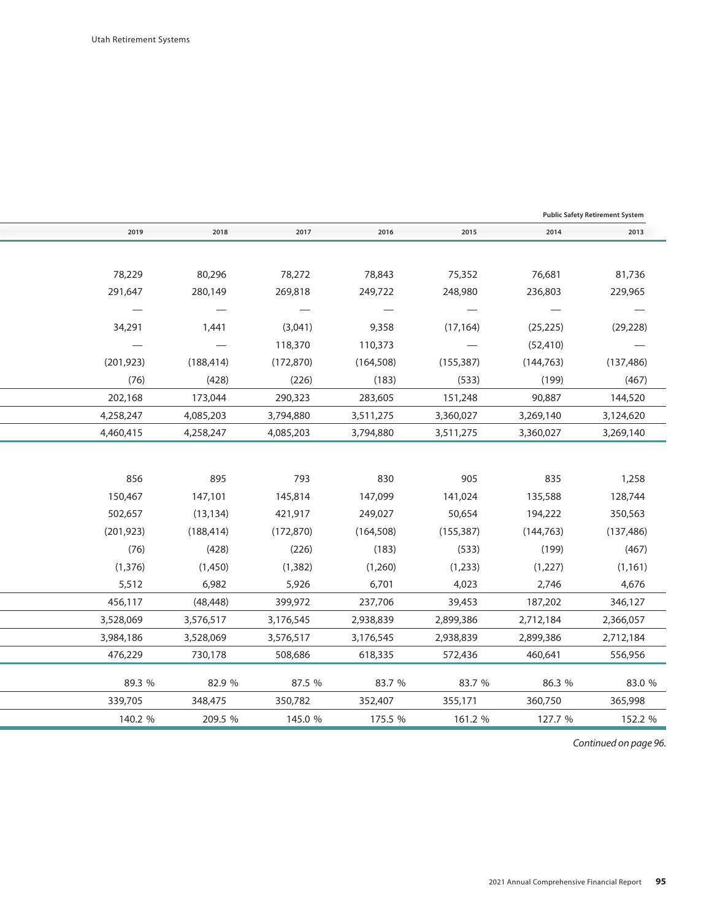|            |                                 |                                 |                          |                          | <b>Public Safety Retirement System</b> |
|------------|---------------------------------|---------------------------------|--------------------------|--------------------------|----------------------------------------|
| 2018       | 2017                            | 2016                            | 2015                     | 2014                     | 2013                                   |
|            |                                 |                                 |                          |                          |                                        |
| 80,296     | 78,272                          | 78,843                          | 75,352                   | 76,681                   | 81,736                                 |
| 280,149    | 269,818                         | 249,722                         | 248,980                  | 236,803                  | 229,965                                |
|            | $\hspace{0.1mm}-\hspace{0.1mm}$ | $\hspace{0.1mm}-\hspace{0.1mm}$ |                          | $\overline{\phantom{m}}$ |                                        |
| 1,441      | (3,041)                         | 9,358                           | (17, 164)                | (25, 225)                | (29, 228)                              |
|            | 118,370                         | 110,373                         | $\overline{\phantom{m}}$ | (52, 410)                |                                        |
| (188, 414) | (172, 870)                      | (164, 508)                      | (155, 387)               | (144, 763)               | (137, 486)                             |
| (428)      | (226)                           | (183)                           | (533)                    | (199)                    | (467)                                  |
| 173,044    | 290,323                         | 283,605                         | 151,248                  | 90,887                   | 144,520                                |
| 4,085,203  | 3,794,880                       | 3,511,275                       | 3,360,027                | 3,269,140                | 3,124,620                              |
| 4,258,247  | 4,085,203                       | 3,794,880                       | 3,511,275                | 3,360,027                | 3,269,140                              |
|            |                                 |                                 |                          |                          |                                        |
| 895        | 793                             | 830                             | 905                      | 835                      | 1,258                                  |
| 147,101    | 145,814                         | 147,099                         | 141,024                  | 135,588                  | 128,744                                |
| (13, 134)  | 421,917                         | 249,027                         | 50,654                   | 194,222                  | 350,563                                |
| (188, 414) | (172, 870)                      | (164, 508)                      | (155, 387)               | (144, 763)               | (137, 486)                             |
| (428)      | (226)                           | (183)                           | (533)                    | (199)                    | (467)                                  |
| (1,450)    | (1, 382)                        | (1,260)                         | (1,233)                  | (1,227)                  | (1, 161)                               |
| 6,982      | 5,926                           | 6,701                           | 4,023                    | 2,746                    | 4,676                                  |
| (48, 448)  | 399,972                         | 237,706                         | 39,453                   | 187,202                  | 346,127                                |
| 3,576,517  | 3,176,545                       | 2,938,839                       | 2,899,386                | 2,712,184                | 2,366,057                              |
| 3,528,069  | 3,576,517                       | 3,176,545                       | 2,938,839                | 2,899,386                | 2,712,184                              |
| 730,178    | 508,686                         | 618,335                         | 572,436                  | 460,641                  | 556,956                                |
| 82.9 %     | 87.5 %                          | 83.7 %                          | 83.7 %                   | 86.3 %                   | 83.0 %                                 |
| 348,475    | 350,782                         | 352,407                         | 355,171                  | 360,750                  | 365,998                                |
| 209.5 %    | 145.0 %                         | 175.5 %                         | 161.2 %                  | 127.7 %                  | 152.2 %                                |
|            |                                 |                                 |                          |                          |                                        |

*Continued on page 96. Continued on page 96.*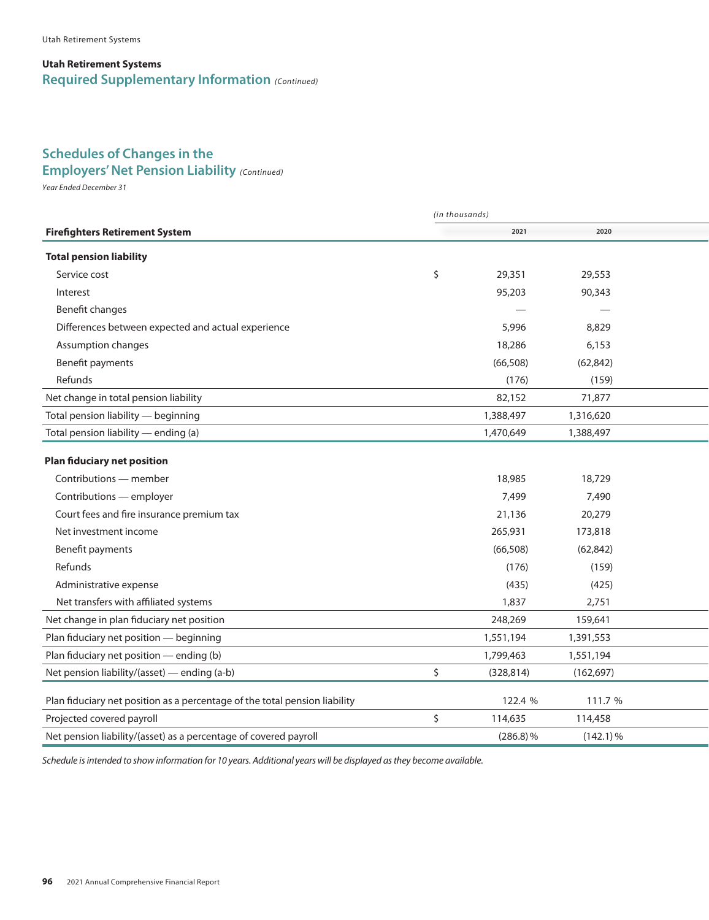#### **Utah Retirement Systems Required Supplementary Information** *(Continued)*

# **Schedules of Changes in the**

### *Year Ended December 31* **Employers' Net Pension Liability** *(Continued)*

*Year Ended December 31*

|                                                                            | (in thousands) |             |             |  |  |  |  |
|----------------------------------------------------------------------------|----------------|-------------|-------------|--|--|--|--|
| <b>Firefighters Retirement System</b>                                      |                | 2021        | 2020        |  |  |  |  |
| <b>Total pension liability</b>                                             |                |             |             |  |  |  |  |
| Service cost                                                               | \$             | 29,351      | 29,553      |  |  |  |  |
| Interest                                                                   |                | 95,203      | 90,343      |  |  |  |  |
| Benefit changes                                                            |                |             |             |  |  |  |  |
| Differences between expected and actual experience                         |                | 5,996       | 8,829       |  |  |  |  |
| Assumption changes                                                         |                | 18,286      | 6,153       |  |  |  |  |
| Benefit payments                                                           |                | (66, 508)   | (62, 842)   |  |  |  |  |
| Refunds                                                                    |                | (176)       | (159)       |  |  |  |  |
| Net change in total pension liability                                      |                | 82,152      | 71,877      |  |  |  |  |
| Total pension liability - beginning                                        |                | 1,388,497   | 1,316,620   |  |  |  |  |
| Total pension liability - ending (a)                                       |                | 1,470,649   | 1,388,497   |  |  |  |  |
| <b>Plan fiduciary net position</b>                                         |                |             |             |  |  |  |  |
| Contributions - member                                                     |                | 18,985      | 18,729      |  |  |  |  |
| Contributions - employer                                                   |                | 7,499       | 7,490       |  |  |  |  |
| Court fees and fire insurance premium tax                                  |                | 21,136      | 20,279      |  |  |  |  |
| Net investment income                                                      |                | 265,931     | 173,818     |  |  |  |  |
| Benefit payments                                                           |                | (66, 508)   | (62, 842)   |  |  |  |  |
| Refunds                                                                    |                | (176)       | (159)       |  |  |  |  |
| Administrative expense                                                     |                | (435)       | (425)       |  |  |  |  |
| Net transfers with affiliated systems                                      |                | 1,837       | 2,751       |  |  |  |  |
| Net change in plan fiduciary net position                                  |                | 248,269     | 159,641     |  |  |  |  |
| Plan fiduciary net position - beginning                                    |                | 1,551,194   | 1,391,553   |  |  |  |  |
| Plan fiduciary net position - ending (b)                                   |                | 1,799,463   | 1,551,194   |  |  |  |  |
| Net pension liability/(asset) - ending (a-b)                               | \$             | (328, 814)  | (162, 697)  |  |  |  |  |
| Plan fiduciary net position as a percentage of the total pension liability |                | 122.4 %     | 111.7 %     |  |  |  |  |
| Projected covered payroll                                                  | \$             | 114,635     | 114,458     |  |  |  |  |
| Net pension liability/(asset) as a percentage of covered payroll           |                | $(286.8)\%$ | $(142.1)\%$ |  |  |  |  |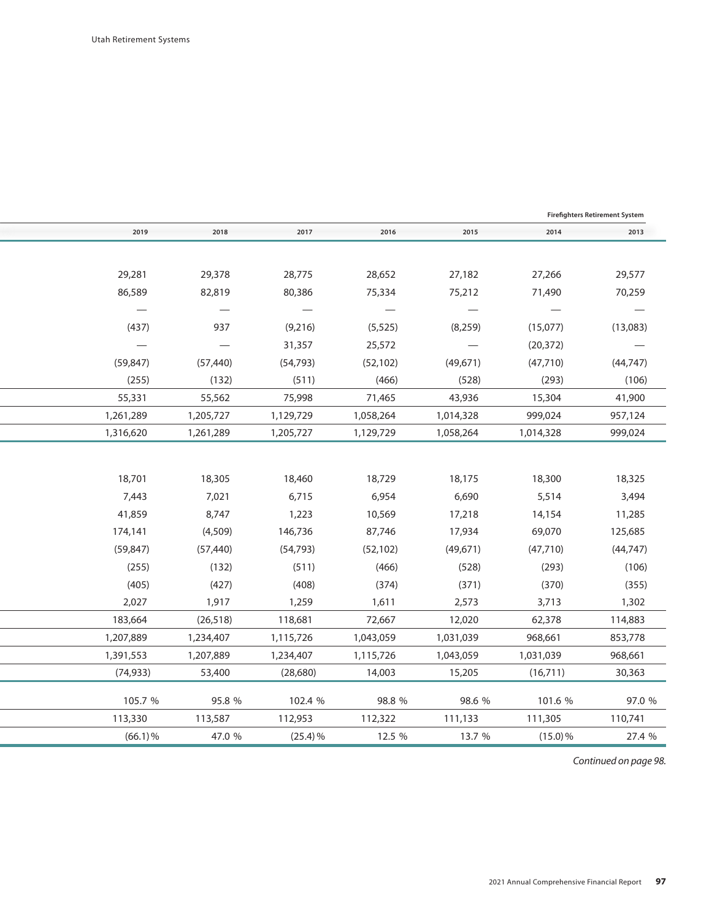|            |           |            |           |           |            | <b>Firefighters Retirement System</b> |
|------------|-----------|------------|-----------|-----------|------------|---------------------------------------|
| 2019       | 2018      | 2017       | 2016      | 2015      | 2014       | 2013                                  |
|            |           |            |           |           |            |                                       |
| 29,281     | 29,378    | 28,775     | 28,652    | 27,182    | 27,266     | 29,577                                |
| 86,589     | 82,819    | 80,386     | 75,334    | 75,212    | 71,490     | 70,259                                |
|            |           |            |           |           |            |                                       |
| (437)      | 937       | (9,216)    | (5, 525)  | (8, 259)  | (15,077)   | (13,083)                              |
|            |           | 31,357     | 25,572    |           | (20, 372)  |                                       |
| (59, 847)  | (57, 440) | (54, 793)  | (52, 102) | (49,671)  | (47, 710)  | (44, 747)                             |
| (255)      | (132)     | (511)      | (466)     | (528)     | (293)      | (106)                                 |
| 55,331     | 55,562    | 75,998     | 71,465    | 43,936    | 15,304     | 41,900                                |
| 1,261,289  | 1,205,727 | 1,129,729  | 1,058,264 | 1,014,328 | 999,024    | 957,124                               |
| 1,316,620  | 1,261,289 | 1,205,727  | 1,129,729 | 1,058,264 | 1,014,328  | 999,024                               |
|            |           |            |           |           |            |                                       |
| 18,701     | 18,305    | 18,460     | 18,729    | 18,175    | 18,300     | 18,325                                |
| 7,443      | 7,021     | 6,715      | 6,954     | 6,690     | 5,514      | 3,494                                 |
| 41,859     | 8,747     | 1,223      | 10,569    | 17,218    | 14,154     | 11,285                                |
| 174,141    | (4,509)   | 146,736    | 87,746    | 17,934    | 69,070     | 125,685                               |
| (59, 847)  | (57, 440) | (54, 793)  | (52, 102) | (49, 671) | (47, 710)  | (44, 747)                             |
| (255)      | (132)     | (511)      | (466)     | (528)     | (293)      | (106)                                 |
| (405)      | (427)     | (408)      | (374)     | (371)     | (370)      | (355)                                 |
| 2,027      | 1,917     | 1,259      | 1,611     | 2,573     | 3,713      | 1,302                                 |
| 183,664    | (26, 518) | 118,681    | 72,667    | 12,020    | 62,378     | 114,883                               |
| 1,207,889  | 1,234,407 | 1,115,726  | 1,043,059 | 1,031,039 | 968,661    | 853,778                               |
| 1,391,553  | 1,207,889 | 1,234,407  | 1,115,726 | 1,043,059 | 1,031,039  | 968,661                               |
| (74, 933)  | 53,400    | (28,680)   | 14,003    | 15,205    | (16,711)   | 30,363                                |
| 105.7 %    | 95.8 %    | 102.4 %    | 98.8 %    | 98.6 %    | 101.6 %    | 97.0 %                                |
| 113,330    | 113,587   | 112,953    | 112,322   | 111,133   | 111,305    | 110,741                               |
| $(66.1)\%$ | 47.0 %    | $(25.4)$ % | 12.5 %    | 13.7 %    | $(15.0)$ % | 27.4 %                                |

*Continued on page 98. Continued on page 98.*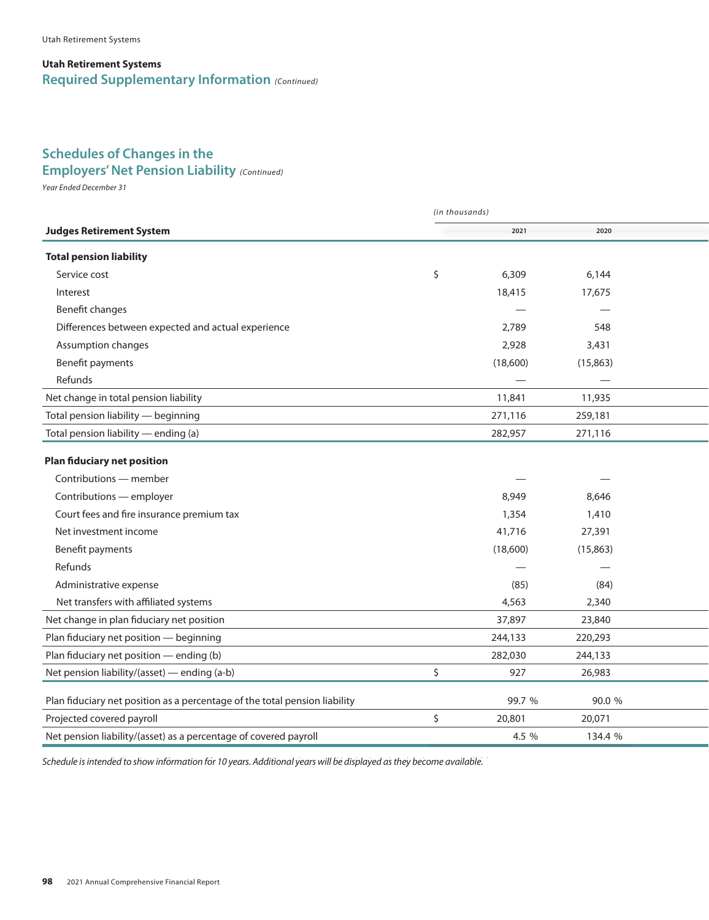#### **Utah Retirement Systems Required Supplementary Information** *(Continued)*

# **Schedules of Changes in the**

### *Year Ended December 31* **Employers' Net Pension Liability** *(Continued)*

*Year Ended December 31*

|                                                                            | (in thousands) |          |           |  |  |  |
|----------------------------------------------------------------------------|----------------|----------|-----------|--|--|--|
| <b>Judges Retirement System</b>                                            |                | 2021     | 2020      |  |  |  |
| <b>Total pension liability</b>                                             |                |          |           |  |  |  |
| Service cost                                                               | \$             | 6,309    | 6,144     |  |  |  |
| Interest                                                                   |                | 18,415   | 17,675    |  |  |  |
| Benefit changes                                                            |                |          |           |  |  |  |
| Differences between expected and actual experience                         |                | 2,789    | 548       |  |  |  |
| Assumption changes                                                         |                | 2,928    | 3,431     |  |  |  |
| Benefit payments                                                           |                | (18,600) | (15, 863) |  |  |  |
| Refunds                                                                    |                |          |           |  |  |  |
| Net change in total pension liability                                      |                | 11,841   | 11,935    |  |  |  |
| Total pension liability - beginning                                        |                | 271,116  | 259,181   |  |  |  |
| Total pension liability - ending (a)                                       |                | 282,957  | 271,116   |  |  |  |
| <b>Plan fiduciary net position</b>                                         |                |          |           |  |  |  |
| Contributions - member                                                     |                |          |           |  |  |  |
| Contributions - employer                                                   |                | 8,949    | 8,646     |  |  |  |
| Court fees and fire insurance premium tax                                  |                | 1,354    | 1,410     |  |  |  |
| Net investment income                                                      |                | 41,716   | 27,391    |  |  |  |
| Benefit payments                                                           |                | (18,600) | (15, 863) |  |  |  |
| Refunds                                                                    |                |          |           |  |  |  |
| Administrative expense                                                     |                | (85)     | (84)      |  |  |  |
| Net transfers with affiliated systems                                      |                | 4,563    | 2,340     |  |  |  |
| Net change in plan fiduciary net position                                  |                | 37,897   | 23,840    |  |  |  |
| Plan fiduciary net position - beginning                                    |                | 244,133  | 220,293   |  |  |  |
| Plan fiduciary net position - ending (b)                                   |                | 282,030  | 244,133   |  |  |  |
| Net pension liability/(asset) — ending (a-b)                               | \$             | 927      | 26,983    |  |  |  |
| Plan fiduciary net position as a percentage of the total pension liability |                | 99.7 %   | 90.0 %    |  |  |  |
| Projected covered payroll                                                  | \$             | 20,801   | 20,071    |  |  |  |
| Net pension liability/(asset) as a percentage of covered payroll           |                | 4.5 %    | 134.4 %   |  |  |  |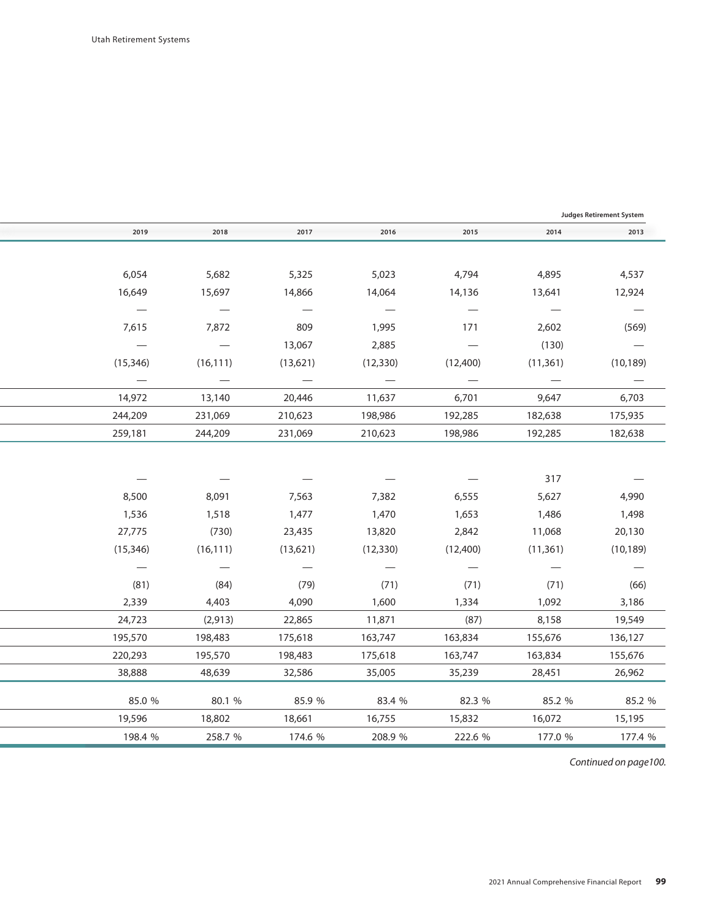| Judges Retirement System        |                                 |                                 |                                 |                                 |                                 |                                 |
|---------------------------------|---------------------------------|---------------------------------|---------------------------------|---------------------------------|---------------------------------|---------------------------------|
| 2013                            | 2014                            | 2015                            | 2016                            | 2017                            | 2018                            | 2019                            |
|                                 |                                 |                                 |                                 |                                 |                                 |                                 |
| 4,537                           | 4,895                           | 4,794                           | 5,023                           | 5,325                           | 5,682                           | 6,054                           |
| 12,924                          | 13,641                          | 14,136                          | 14,064                          | 14,866                          | 15,697                          | 16,649                          |
| $\overline{\phantom{0}}$        | $\overline{\phantom{m}}$        | $\overline{\phantom{m}}$        | $\overline{\phantom{a}}$        | $\overline{\phantom{m}}$        | $\overline{\phantom{a}}$        | $\overline{\phantom{m}}$        |
| (569)                           | 2,602                           | 171                             | 1,995                           | 809                             | 7,872                           | 7,615                           |
| $\hspace{0.1mm}$                | (130)                           | $\overline{\phantom{m}}$        | 2,885                           | 13,067                          | $\hspace{0.1mm}-\hspace{0.1mm}$ | $\overline{\phantom{m}}$        |
| (10, 189)                       | (11, 361)                       | (12,400)                        | (12, 330)                       | (13,621)                        | (16, 111)                       | (15, 346)                       |
| $\overline{\phantom{a}}$        | $\overline{\phantom{a}}$        | $\overline{\phantom{m}}$        | $\overline{\phantom{a}}$        | $\overline{\phantom{a}}$        | $\hspace{0.1mm}-\hspace{0.1mm}$ | $\hspace{0.1mm}-\hspace{0.1mm}$ |
| 6,703                           | 9,647                           | 6,701                           | 11,637                          | 20,446                          | 13,140                          | 14,972                          |
| 175,935                         | 182,638                         | 192,285                         | 198,986                         | 210,623                         | 231,069                         | 244,209                         |
| 182,638                         | 192,285                         | 198,986                         | 210,623                         | 231,069                         | 244,209                         | 259,181                         |
|                                 |                                 |                                 |                                 |                                 |                                 |                                 |
|                                 | 317                             |                                 |                                 |                                 |                                 |                                 |
| 4,990                           | 5,627                           | 6,555                           | 7,382                           | 7,563                           | 8,091                           | 8,500                           |
| 1,498                           | 1,486                           | 1,653                           | 1,470                           | 1,477                           | 1,518                           | 1,536                           |
| 20,130                          | 11,068                          | 2,842                           | 13,820                          | 23,435                          | (730)                           | 27,775                          |
| (10, 189)                       | (11, 361)                       | (12,400)                        | (12, 330)                       | (13,621)                        | (16, 111)                       | (15, 346)                       |
| $\hspace{0.1mm}-\hspace{0.1mm}$ | $\hspace{0.1mm}-\hspace{0.1mm}$ | $\hspace{0.1mm}-\hspace{0.1mm}$ | $\hspace{0.1mm}-\hspace{0.1mm}$ | $\hspace{0.1mm}-\hspace{0.1mm}$ | $\hspace{0.1mm}-\hspace{0.1mm}$ | $\hspace{0.1mm}-\hspace{0.1mm}$ |
| (66)                            | (71)                            | (71)                            | (71)                            | (79)                            | (84)                            | (81)                            |
| 3,186                           | 1,092                           | 1,334                           | 1,600                           | 4,090                           | 4,403                           | 2,339                           |
| 19,549                          | 8,158                           | (87)                            | 11,871                          | 22,865                          | (2, 913)                        | 24,723                          |
| 136,127                         | 155,676                         | 163,834                         | 163,747                         | 175,618                         | 198,483                         | 195,570                         |
| 155,676                         | 163,834                         | 163,747                         | 175,618                         | 198,483                         | 195,570                         | 220,293                         |
| 26,962                          | 28,451                          | 35,239                          | 35,005                          | 32,586                          | 48,639                          | 38,888                          |
| 85.2 %                          | 85.2 %                          | 82.3 %                          | 83.4 %                          | 85.9 %                          | 80.1 %                          | 85.0 %                          |
| 15,195                          | 16,072                          | 15,832                          | 16,755                          | 18,661                          | 18,802                          | 19,596                          |
| 177.4 %                         | 177.0 %                         | 222.6 %                         | 208.9 %                         | 174.6 %                         | 258.7 %                         | 198.4 %                         |
|                                 |                                 |                                 |                                 |                                 |                                 |                                 |

*Continued on page 100. Continued on page100.*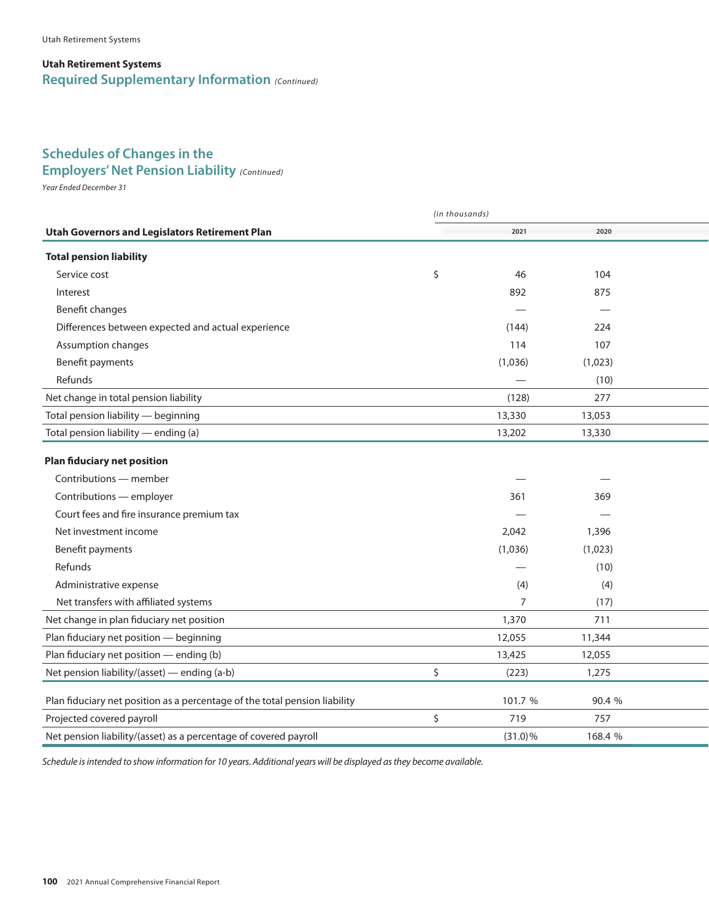#### **Utah Retirement Systems Required Supplementary Information** *(Continued)*

# **Schedules of Changes in the**

*Year Ended December 31* **Employers' Net Pension Liability** *(Continued)* 

*Year Ended December 31*

|                                                                            | (in thousands) |            |         |  |  |  |
|----------------------------------------------------------------------------|----------------|------------|---------|--|--|--|
| <b>Utah Governors and Legislators Retirement Plan</b>                      |                | 2021       | 2020    |  |  |  |
| <b>Total pension liability</b>                                             |                |            |         |  |  |  |
| Service cost                                                               | \$             | 46         | 104     |  |  |  |
| Interest                                                                   |                | 892        | 875     |  |  |  |
| Benefit changes                                                            |                |            |         |  |  |  |
| Differences between expected and actual experience                         |                | (144)      | 224     |  |  |  |
| Assumption changes                                                         |                | 114        | 107     |  |  |  |
| Benefit payments                                                           |                | (1,036)    | (1,023) |  |  |  |
| Refunds                                                                    |                |            | (10)    |  |  |  |
| Net change in total pension liability                                      |                | (128)      | 277     |  |  |  |
| Total pension liability - beginning                                        |                | 13,330     | 13,053  |  |  |  |
| Total pension liability - ending (a)                                       |                | 13,202     | 13,330  |  |  |  |
| <b>Plan fiduciary net position</b>                                         |                |            |         |  |  |  |
| Contributions - member                                                     |                |            |         |  |  |  |
| Contributions - employer                                                   |                | 361        | 369     |  |  |  |
| Court fees and fire insurance premium tax                                  |                |            |         |  |  |  |
| Net investment income                                                      |                | 2,042      | 1,396   |  |  |  |
| Benefit payments                                                           |                | (1,036)    | (1,023) |  |  |  |
| Refunds                                                                    |                |            | (10)    |  |  |  |
| Administrative expense                                                     |                | (4)        | (4)     |  |  |  |
| Net transfers with affiliated systems                                      |                | 7          | (17)    |  |  |  |
| Net change in plan fiduciary net position                                  |                | 1,370      | 711     |  |  |  |
| Plan fiduciary net position - beginning                                    |                | 12,055     | 11,344  |  |  |  |
| Plan fiduciary net position - ending (b)                                   |                | 13,425     | 12,055  |  |  |  |
| Net pension liability/(asset) - ending (a-b)                               | \$             | (223)      | 1,275   |  |  |  |
| Plan fiduciary net position as a percentage of the total pension liability |                | 101.7 %    | 90.4 %  |  |  |  |
| Projected covered payroll                                                  | \$             | 719        | 757     |  |  |  |
| Net pension liability/(asset) as a percentage of covered payroll           |                | $(31.0)\%$ | 168.4 % |  |  |  |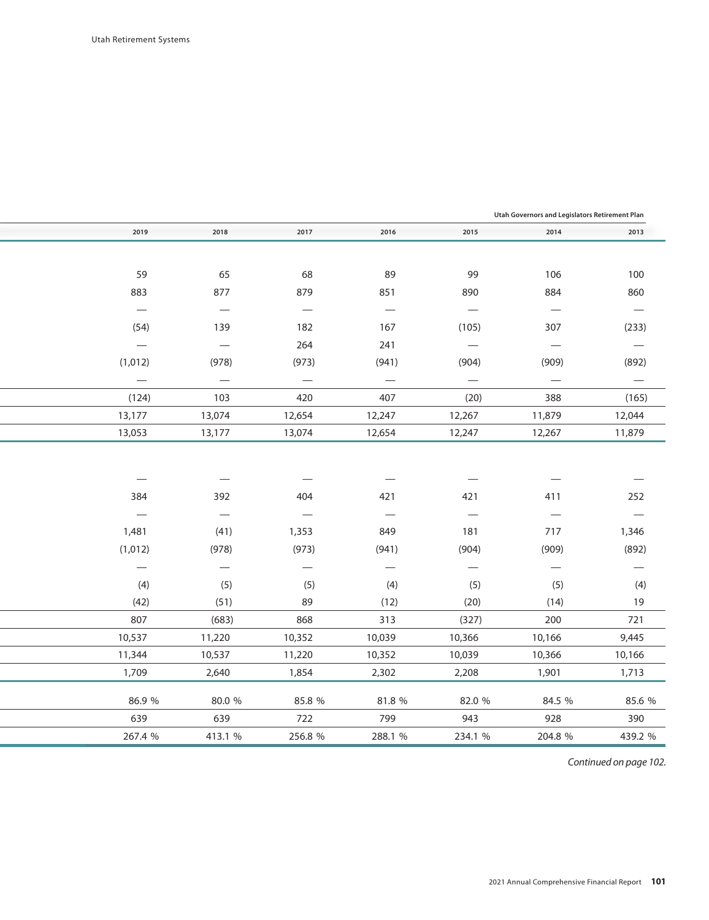| Utah Governors and Legislators Retirement Plan |                                 |                          |                          |                               |                                 |                          |  |  |  |
|------------------------------------------------|---------------------------------|--------------------------|--------------------------|-------------------------------|---------------------------------|--------------------------|--|--|--|
| 2019                                           | 2018                            | 2017                     | 2016                     | 2015                          | 2014                            | 2013                     |  |  |  |
|                                                |                                 |                          |                          |                               |                                 |                          |  |  |  |
| 59                                             | 65                              | 68                       | 89                       | 99                            | 106                             | 100                      |  |  |  |
| 883                                            | 877                             | 879                      | 851                      | 890                           | 884                             | 860                      |  |  |  |
| $\overline{\phantom{m}}$                       | $\overline{\phantom{m}}$        | $\overline{\phantom{m}}$ | $\overline{\phantom{m}}$ | $\overline{\phantom{m}}$      | $\overline{\phantom{m}}$        | $\overline{\phantom{m}}$ |  |  |  |
| (54)                                           | 139                             | 182                      | 167                      | (105)                         | 307                             | (233)                    |  |  |  |
| $\overline{\phantom{m}}$                       | $\overline{\phantom{m}}$        | 264                      | 241                      | $\overline{\phantom{m}}$      | $\overline{\phantom{m}}$        | $\overline{\phantom{m}}$ |  |  |  |
| (1,012)                                        | (978)                           | (973)                    | (941)                    | (904)                         | (909)                           | (892)                    |  |  |  |
| $\overline{\phantom{m}}$                       | $\overline{\phantom{m}}$        | $\overline{\phantom{m}}$ | $\overline{\phantom{m}}$ | $\overline{\phantom{m}}$      | $\hspace{0.1mm}-\hspace{0.1mm}$ | $\overline{\phantom{m}}$ |  |  |  |
| (124)                                          | 103                             | 420                      | 407                      | (20)                          | 388                             | (165)                    |  |  |  |
| 13,177                                         | 13,074                          | 12,654                   | 12,247                   | 12,267                        | 11,879                          | 12,044                   |  |  |  |
| 13,053                                         | 13,177                          | 13,074                   | 12,654                   | 12,247                        | 12,267                          | 11,879                   |  |  |  |
|                                                |                                 |                          |                          |                               |                                 |                          |  |  |  |
|                                                | $\hspace{0.1mm}-\hspace{0.1mm}$ |                          |                          |                               |                                 |                          |  |  |  |
| 384                                            | 392                             | 404                      | 421                      | 421                           | 411                             | 252                      |  |  |  |
| $\overline{\phantom{m}}$                       | $\overline{\phantom{m}}$        | $\overline{\phantom{m}}$ | $\overline{\phantom{m}}$ | $\overbrace{\phantom{12333}}$ | $\overline{\phantom{m}}$        | $\overline{\phantom{m}}$ |  |  |  |
| 1,481                                          | (41)                            | 1,353                    | 849                      | 181                           | 717                             | 1,346                    |  |  |  |
| (1,012)                                        | (978)                           | (973)                    | (941)                    | (904)                         | (909)                           | (892)                    |  |  |  |
| $\overline{\phantom{m}}$                       | $\overline{\phantom{m}}$        | $\overline{\phantom{m}}$ | $\overline{\phantom{m}}$ | $\overline{\phantom{m}}$      | $\hspace{0.1mm}-\hspace{0.1mm}$ | $\overline{\phantom{m}}$ |  |  |  |
| (4)                                            | (5)                             | (5)                      | (4)                      | (5)                           | (5)                             | (4)                      |  |  |  |
| (42)                                           | (51)                            | 89                       | (12)                     | (20)                          | (14)                            | 19                       |  |  |  |
| 807                                            | (683)                           | 868                      | 313                      | (327)                         | 200                             | 721                      |  |  |  |
| 10,537                                         | 11,220                          | 10,352                   | 10,039                   | 10,366                        | 10,166                          | 9,445                    |  |  |  |
| 11,344                                         | 10,537                          | 11,220                   | 10,352                   | 10,039                        | 10,366                          | 10,166                   |  |  |  |
| 1,709                                          | 2,640                           | 1,854                    | 2,302                    | 2,208                         | 1,901                           | 1,713                    |  |  |  |
|                                                |                                 |                          |                          |                               |                                 |                          |  |  |  |
| 86.9 %                                         | 80.0 %                          | 85.8 %                   | 81.8 %                   | 82.0 %                        | 84.5 %                          | 85.6 %                   |  |  |  |
| 639                                            | 639                             | 722                      | 799                      | 943                           | 928                             | 390                      |  |  |  |
| 267.4 %                                        | 413.1 %                         | 256.8 %                  | 288.1 %                  | 234.1 %                       | 204.8 %                         | 439.2 %                  |  |  |  |

*Continued on page 102. Continued on page 102.*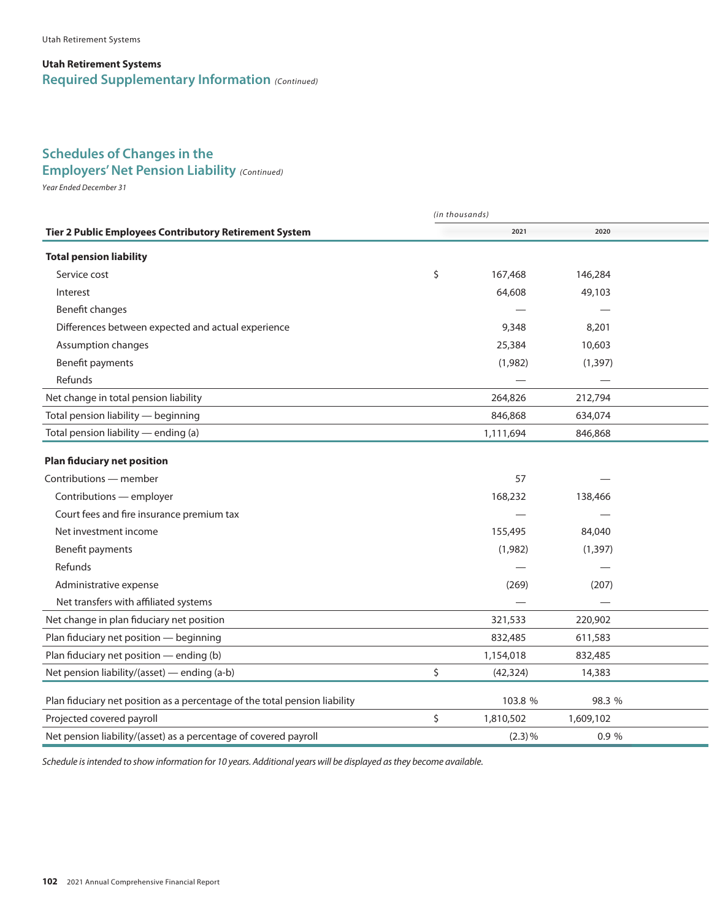#### **Utah Retirement Systems Required Supplementary Information** *(Continued)*

## **Schedules of Changes in the**

*Year Ended December 31* **Employers' Net Pension Liability** *(Continued)* 

*Year Ended December 31*

|                                                                            | (in thousands) |           |           |  |
|----------------------------------------------------------------------------|----------------|-----------|-----------|--|
| <b>Tier 2 Public Employees Contributory Retirement System</b>              |                | 2021      | 2020      |  |
| <b>Total pension liability</b>                                             |                |           |           |  |
| Service cost                                                               | \$             | 167,468   | 146,284   |  |
| Interest                                                                   |                | 64,608    | 49,103    |  |
| Benefit changes                                                            |                |           |           |  |
| Differences between expected and actual experience                         |                | 9,348     | 8,201     |  |
| Assumption changes                                                         |                | 25,384    | 10,603    |  |
| Benefit payments                                                           |                | (1,982)   | (1, 397)  |  |
| Refunds                                                                    |                |           |           |  |
| Net change in total pension liability                                      |                | 264,826   | 212,794   |  |
| Total pension liability - beginning                                        |                | 846,868   | 634,074   |  |
| Total pension liability - ending (a)                                       |                | 1,111,694 | 846,868   |  |
| <b>Plan fiduciary net position</b>                                         |                |           |           |  |
| Contributions - member                                                     |                | 57        |           |  |
| Contributions - employer                                                   |                | 168,232   | 138,466   |  |
| Court fees and fire insurance premium tax                                  |                |           |           |  |
| Net investment income                                                      |                | 155,495   | 84,040    |  |
| Benefit payments                                                           |                | (1,982)   | (1, 397)  |  |
| Refunds                                                                    |                |           |           |  |
| Administrative expense                                                     |                | (269)     | (207)     |  |
| Net transfers with affiliated systems                                      |                |           |           |  |
| Net change in plan fiduciary net position                                  |                | 321,533   | 220,902   |  |
| Plan fiduciary net position - beginning                                    |                | 832,485   | 611,583   |  |
| Plan fiduciary net position - ending (b)                                   |                | 1,154,018 | 832,485   |  |
| Net pension liability/(asset) - ending (a-b)                               | \$             | (42, 324) | 14,383    |  |
| Plan fiduciary net position as a percentage of the total pension liability |                | 103.8 %   | 98.3 %    |  |
| Projected covered payroll                                                  | \$             | 1,810,502 | 1,609,102 |  |
| Net pension liability/(asset) as a percentage of covered payroll           |                | $(2.3)$ % | 0.9 %     |  |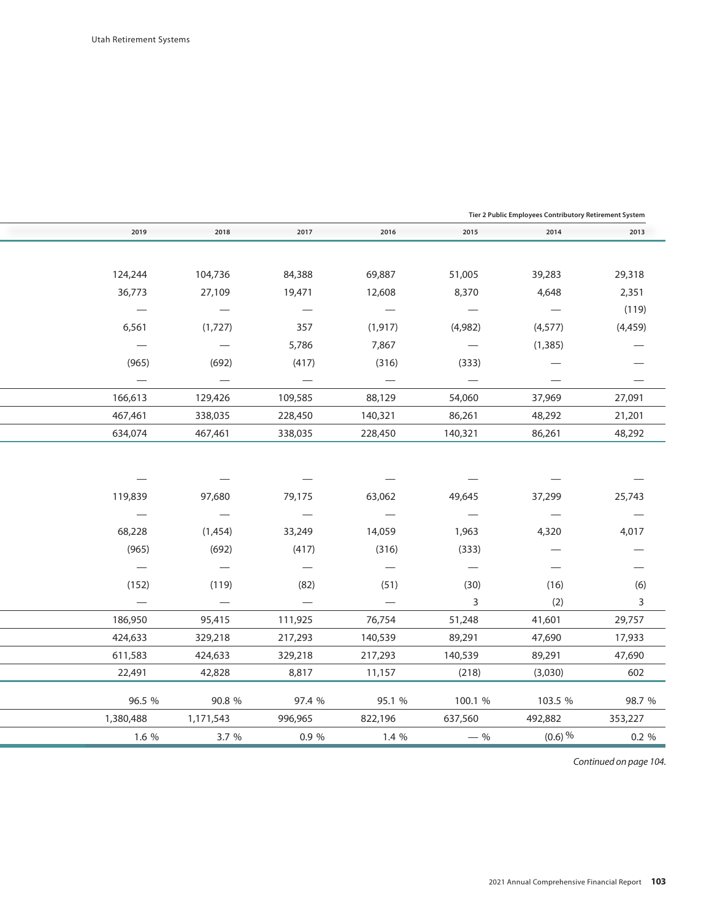| Tier 2 Public Employees Contributory Retirement System |           |                                  |                                 |                                   |                                   |                                 |
|--------------------------------------------------------|-----------|----------------------------------|---------------------------------|-----------------------------------|-----------------------------------|---------------------------------|
| 2013                                                   | 2014      | 2015                             | 2016                            | 2017                              | 2018                              | 2019                            |
|                                                        |           |                                  |                                 |                                   |                                   |                                 |
| 29,318                                                 | 39,283    | 51,005                           | 69,887                          | 84,388                            | 104,736                           | 124,244                         |
| 2,351                                                  | 4,648     | 8,370                            | 12,608                          | 19,471                            | 27,109                            | 36,773                          |
| (119)                                                  |           | $\overbrace{\phantom{12322111}}$ | $\overline{\phantom{m}}$        |                                   |                                   |                                 |
| (4, 459)                                               | (4, 577)  | (4,982)                          | (1, 917)                        | 357                               | (1,727)                           | 6,561                           |
|                                                        | (1, 385)  | $\overline{\phantom{m}}$         | 7,867                           | 5,786                             | $\overbrace{\phantom{123221111}}$ |                                 |
|                                                        |           | (333)                            | (316)                           | (417)                             | (692)                             | (965)                           |
|                                                        |           |                                  | $\hspace{0.1mm}-\hspace{0.1mm}$ | $\hspace{0.1mm}-\hspace{0.1mm}$   | $\overline{\phantom{m}}$          | $\hspace{0.1mm}-\hspace{0.1mm}$ |
| 27,091                                                 | 37,969    | 54,060                           | 88,129                          | 109,585                           | 129,426                           | 166,613                         |
| 21,201                                                 | 48,292    | 86,261                           | 140,321                         | 228,450                           | 338,035                           | 467,461                         |
| 48,292                                                 | 86,261    | 140,321                          | 228,450                         | 338,035                           | 467,461                           | 634,074                         |
|                                                        |           |                                  |                                 |                                   |                                   |                                 |
|                                                        |           |                                  |                                 |                                   |                                   |                                 |
|                                                        |           |                                  |                                 |                                   |                                   |                                 |
| 25,743                                                 | 37,299    | 49,645                           | 63,062                          | 79,175                            | 97,680                            | 119,839                         |
|                                                        |           | $\hspace{0.05cm}$                |                                 | $\overbrace{\phantom{123221111}}$ |                                   |                                 |
| 4,017                                                  | 4,320     | 1,963                            | 14,059                          | 33,249                            | (1,454)                           | 68,228                          |
|                                                        |           | (333)                            | (316)                           | (417)                             | (692)                             | (965)                           |
| $\overline{\phantom{0}}$                               |           | $\overline{\phantom{m}}$         | $\overline{\phantom{m}}$        | $\overbrace{\phantom{123221111}}$ | $\hspace{0.1mm}-\hspace{0.1mm}$   | $\overline{\phantom{m}}$        |
| (6)                                                    | (16)      | (30)                             | (51)                            | (82)                              | (119)                             | (152)                           |
| 3                                                      | (2)       | 3                                |                                 |                                   | $\hspace{0.1mm}-\hspace{0.1mm}$   |                                 |
| 29,757                                                 | 41,601    | 51,248                           | 76,754                          | 111,925                           | 95,415                            | 186,950                         |
| 17,933                                                 | 47,690    | 89,291                           | 140,539                         | 217,293                           | 329,218                           | 424,633                         |
| 47,690                                                 | 89,291    | 140,539                          | 217,293                         | 329,218                           | 424,633                           | 611,583                         |
| 602                                                    | (3,030)   | (218)                            | 11,157                          | 8,817                             | 42,828                            | 22,491                          |
| 98.7 %                                                 | 103.5 %   | 100.1 %                          | 95.1 %                          | 97.4 %                            | 90.8 %                            | 96.5 %                          |
| 353,227                                                | 492,882   | 637,560                          | 822,196                         | 996,965                           | 1,171,543                         | 1,380,488                       |
| 0.2 %                                                  | $(0.6)$ % | $-$ %                            | 1.4 %                           | 0.9 %                             | 3.7 %                             | 1.6 %                           |
|                                                        |           |                                  |                                 |                                   |                                   |                                 |

*Continued on page 104. Continued on page 104.*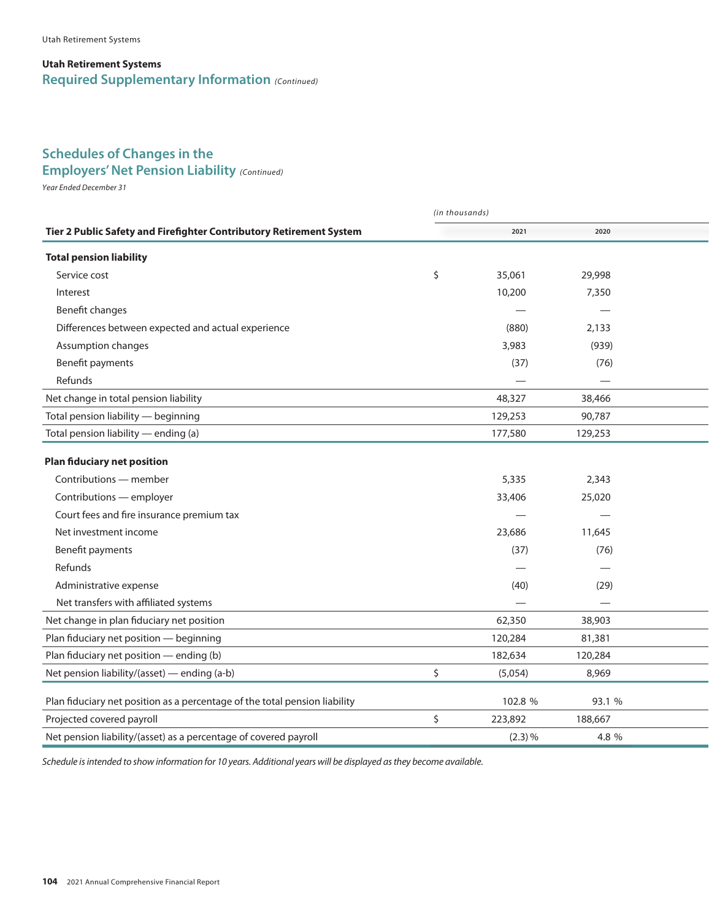#### **Utah Retirement Systems Required Supplementary Information** *(Continued)*

### **Schedules of Changes in the**

**Employers' Net Pension Liability** (Continued)

*Year Ended December 31*

|                                                                            | (in thousands) |         |         |  |
|----------------------------------------------------------------------------|----------------|---------|---------|--|
| Tier 2 Public Safety and Firefighter Contributory Retirement System        |                | 2021    | 2020    |  |
| <b>Total pension liability</b>                                             |                |         |         |  |
| Service cost                                                               | \$             | 35,061  | 29,998  |  |
| Interest                                                                   |                | 10,200  | 7,350   |  |
| Benefit changes                                                            |                |         |         |  |
| Differences between expected and actual experience                         |                | (880)   | 2,133   |  |
| Assumption changes                                                         |                | 3,983   | (939)   |  |
| Benefit payments                                                           |                | (37)    | (76)    |  |
| Refunds                                                                    |                |         |         |  |
| Net change in total pension liability                                      |                | 48,327  | 38,466  |  |
| Total pension liability - beginning                                        |                | 129,253 | 90,787  |  |
| Total pension liability - ending (a)                                       |                | 177,580 | 129,253 |  |
| <b>Plan fiduciary net position</b>                                         |                |         |         |  |
| Contributions — member                                                     |                | 5,335   | 2,343   |  |
| Contributions - employer                                                   |                | 33,406  | 25,020  |  |
| Court fees and fire insurance premium tax                                  |                |         |         |  |
| Net investment income                                                      |                | 23,686  | 11,645  |  |
| Benefit payments                                                           |                | (37)    | (76)    |  |
| Refunds                                                                    |                |         |         |  |
| Administrative expense                                                     |                | (40)    | (29)    |  |
| Net transfers with affiliated systems                                      |                |         |         |  |
| Net change in plan fiduciary net position                                  |                | 62,350  | 38,903  |  |
| Plan fiduciary net position - beginning                                    |                | 120,284 | 81,381  |  |
| Plan fiduciary net position - ending (b)                                   |                | 182,634 | 120,284 |  |
| Net pension liability/(asset) - ending (a-b)                               | \$             | (5,054) | 8,969   |  |
| Plan fiduciary net position as a percentage of the total pension liability |                | 102.8 % | 93.1 %  |  |
| Projected covered payroll                                                  | \$             | 223,892 | 188,667 |  |
| Net pension liability/(asset) as a percentage of covered payroll           |                | (2.3) % | 4.8 %   |  |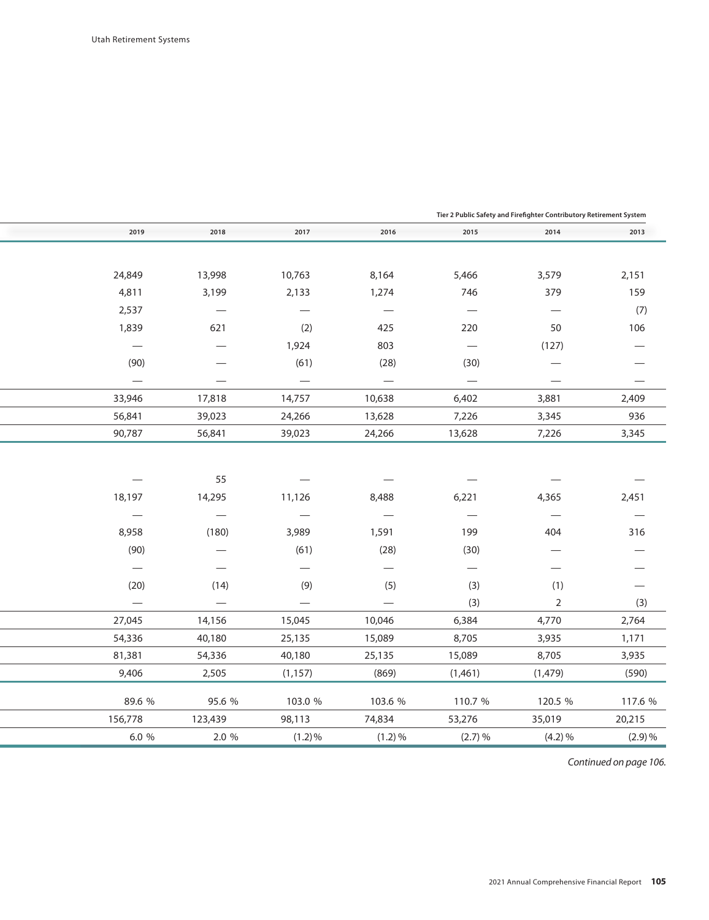| Tier 2 Public Safety and Firefighter Contributory Retirement System |                                  |                                   |                          |                                  |                                  |         |
|---------------------------------------------------------------------|----------------------------------|-----------------------------------|--------------------------|----------------------------------|----------------------------------|---------|
| 2013                                                                | 2014                             | 2015                              | 2016                     | 2017                             | 2018                             | 2019    |
|                                                                     |                                  |                                   |                          |                                  |                                  |         |
| 2,151                                                               | 3,579                            | 5,466                             | 8,164                    | 10,763                           | 13,998                           | 24,849  |
| 159                                                                 | 379                              | 746                               | 1,274                    | 2,133                            | 3,199                            | 4,811   |
| (7)                                                                 | $\overbrace{\phantom{12322111}}$ |                                   |                          | $\overbrace{\phantom{12322111}}$ |                                  | 2,537   |
| 106                                                                 | 50                               | 220                               | 425                      | (2)                              | 621                              | 1,839   |
|                                                                     | (127)                            | $\overbrace{\phantom{123221111}}$ | 803                      | 1,924                            |                                  |         |
|                                                                     |                                  | (30)                              | (28)                     | (61)                             |                                  | (90)    |
|                                                                     |                                  | $\overline{\phantom{m}}$          | $\overline{\phantom{m}}$ | $\overline{\phantom{m}}$         |                                  |         |
| 2,409                                                               | 3,881                            | 6,402                             | 10,638                   | 14,757                           | 17,818                           | 33,946  |
| 936                                                                 | 3,345                            | 7,226                             | 13,628                   | 24,266                           | 39,023                           | 56,841  |
| 3,345                                                               | 7,226                            | 13,628                            | 24,266                   | 39,023                           | 56,841                           | 90,787  |
|                                                                     |                                  |                                   |                          |                                  |                                  |         |
|                                                                     |                                  |                                   |                          |                                  |                                  |         |
|                                                                     |                                  |                                   |                          |                                  | 55                               |         |
| 2,451                                                               | 4,365                            | 6,221                             | 8,488                    | 11,126                           | 14,295                           | 18,197  |
|                                                                     | $\hspace{0.05cm}$                | $\overline{\phantom{0}}$          |                          | $\overline{\phantom{0}}$         |                                  |         |
| 316                                                                 | 404                              | 199                               | 1,591                    | 3,989                            | (180)                            | 8,958   |
|                                                                     |                                  | (30)                              | (28)                     | (61)                             |                                  | (90)    |
|                                                                     |                                  |                                   |                          |                                  |                                  |         |
| -                                                                   | (1)                              | (3)                               | (5)                      | (9)                              | (14)                             | (20)    |
| (3)                                                                 | $\overline{2}$                   | (3)                               |                          | $\overbrace{\phantom{12322111}}$ | $\overbrace{\phantom{12322111}}$ |         |
| 2,764                                                               | 4,770                            | 6,384                             | 10,046                   | 15,045                           | 14,156                           | 27,045  |
| 1,171                                                               | 3,935                            | 8,705                             | 15,089                   | 25,135                           | 40,180                           | 54,336  |
| 3,935                                                               | 8,705                            | 15,089                            | 25,135                   | 40,180                           | 54,336                           | 81,381  |
| (590)                                                               | (1, 479)                         | (1,461)                           | (869)                    | (1, 157)                         | 2,505                            | 9,406   |
| 117.6 %                                                             | 120.5 %                          | 110.7 %                           | 103.6 %                  | 103.0 %                          | 95.6 %                           | 89.6 %  |
| 20,215                                                              | 35,019                           | 53,276                            | 74,834                   | 98,113                           | 123,439                          | 156,778 |
| (2.9)%                                                              | (4.2)%                           | (2.7)%                            | $(1.2) \%$               | $(1.2)\%$                        | 2.0 %                            | 6.0 %   |
|                                                                     |                                  |                                   |                          |                                  |                                  |         |

*Continued on page 106. Continued on page 106.*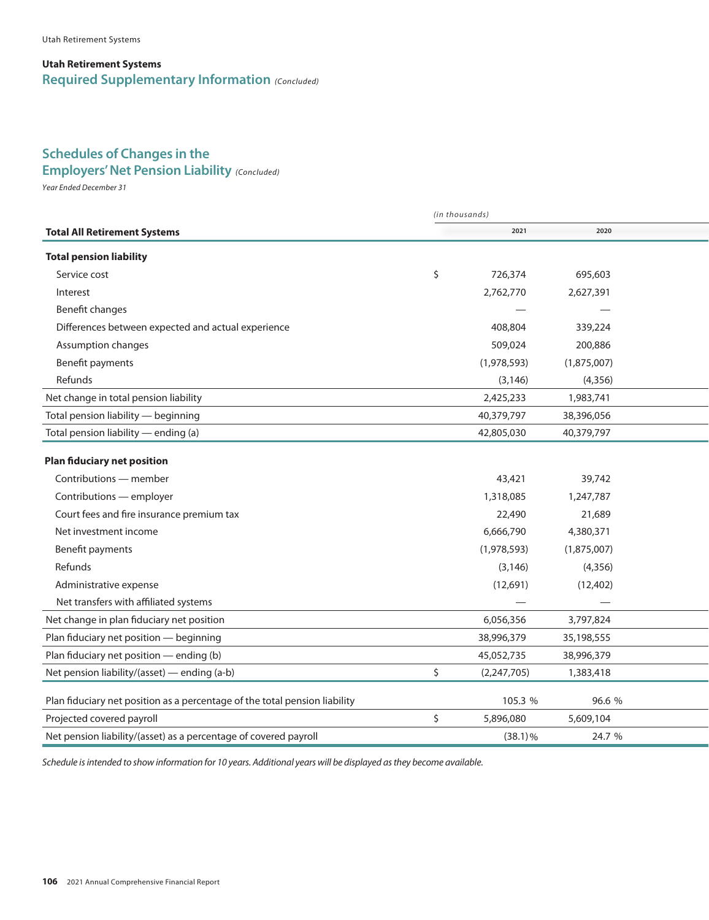#### **Utah Retirement Systems Required Supplementary Information** *(Concluded)*

## **Schedules of Changes in the**

### *Year Ended December 31* **Employers' Net Pension Liability** *(Concluded)*

*Year Ended December 31*

|                                                                            | (in thousands)      |             |  |
|----------------------------------------------------------------------------|---------------------|-------------|--|
| <b>Total All Retirement Systems</b>                                        | 2021                | 2020        |  |
| <b>Total pension liability</b>                                             |                     |             |  |
| Service cost                                                               | \$<br>726,374       | 695,603     |  |
| Interest                                                                   | 2,762,770           | 2,627,391   |  |
| Benefit changes                                                            |                     |             |  |
| Differences between expected and actual experience                         | 408,804             | 339,224     |  |
| Assumption changes                                                         | 509,024             | 200,886     |  |
| Benefit payments                                                           | (1,978,593)         | (1,875,007) |  |
| Refunds                                                                    | (3, 146)            | (4,356)     |  |
| Net change in total pension liability                                      | 2,425,233           | 1,983,741   |  |
| Total pension liability - beginning                                        | 40,379,797          | 38,396,056  |  |
| Total pension liability - ending (a)                                       | 42,805,030          | 40,379,797  |  |
| <b>Plan fiduciary net position</b>                                         |                     |             |  |
| Contributions - member                                                     | 43,421              | 39,742      |  |
| Contributions - employer                                                   | 1,318,085           | 1,247,787   |  |
| Court fees and fire insurance premium tax                                  | 22,490              | 21,689      |  |
| Net investment income                                                      | 6,666,790           | 4,380,371   |  |
| Benefit payments                                                           | (1,978,593)         | (1,875,007) |  |
| Refunds                                                                    | (3, 146)            | (4,356)     |  |
| Administrative expense                                                     | (12,691)            | (12,402)    |  |
| Net transfers with affiliated systems                                      |                     |             |  |
| Net change in plan fiduciary net position                                  | 6,056,356           | 3,797,824   |  |
| Plan fiduciary net position - beginning                                    | 38,996,379          | 35,198,555  |  |
| Plan fiduciary net position - ending (b)                                   | 45,052,735          | 38,996,379  |  |
| Net pension liability/(asset) — ending (a-b)                               | \$<br>(2, 247, 705) | 1,383,418   |  |
| Plan fiduciary net position as a percentage of the total pension liability | 105.3 %             | 96.6 %      |  |
| Projected covered payroll                                                  | \$<br>5,896,080     | 5,609,104   |  |
| Net pension liability/(asset) as a percentage of covered payroll           | $(38.1)\%$          | 24.7 %      |  |